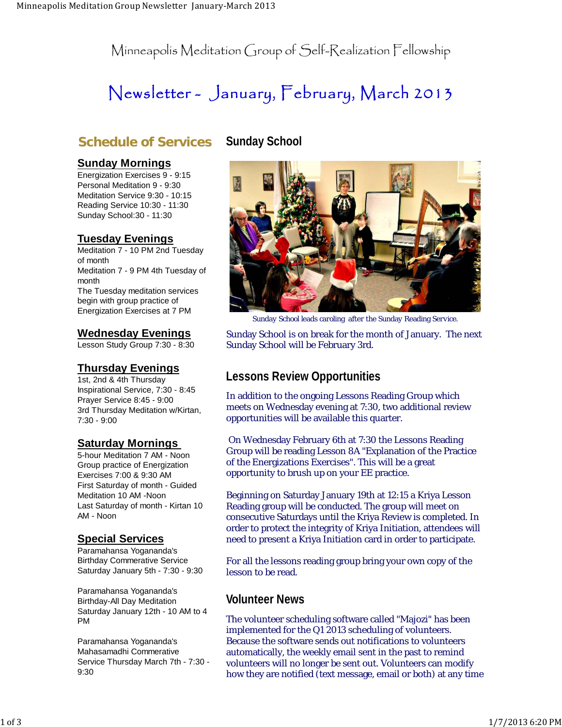Minneapolis Meditation Group of Self-Realization Fellowship

# Newsletter - January, February, March 2013

### **Schedule of Services**

#### **Sunday Mornings**

Energization Exercises 9 - 9:15 Personal Meditation 9 - 9:30 Meditation Service 9:30 - 10:15 Reading Service 10:30 - 11:30 Sunday School:30 - 11:30

### **Tuesday Evenings**

Meditation 7 - 10 PM 2nd Tuesday of month Meditation 7 - 9 PM 4th Tuesday of month The Tuesday meditation services begin with group practice of Energization Exercises at 7 PM

### **Wednesday Evenings**

Lesson Study Group 7:30 - 8:30

### **Thursday Evenings**

1st, 2nd & 4th Thursday Inspirational Service, 7:30 - 8:45 Prayer Service 8:45 - 9:00 3rd Thursday Meditation w/Kirtan, 7:30 - 9:00

### **Saturday Mornings**

5-hour Meditation 7 AM - Noon Group practice of Energization Exercises 7:00 & 9:30 AM First Saturday of month - Guided Meditation 10 AM -Noon Last Saturday of month - Kirtan 10 AM - Noon

### **Special Services**

Paramahansa Yogananda's Birthday Commerative Service Saturday January 5th - 7:30 - 9:30

Paramahansa Yogananda's Birthday-All Day Meditation Saturday January 12th - 10 AM to 4 PM

Paramahansa Yogananda's Mahasamadhi Commerative Service Thursday March 7th - 7:30 - 9:30

### **Sunday School**



Sunday School leads caroling after the Sunday Reading Service.

Sunday School is on break for the month of January. The next Sunday School will be February 3rd.

### **Lessons Review Opportunities**

In addition to the ongoing Lessons Reading Group which meets on Wednesday evening at 7:30, two additional review opportunities will be available this quarter.

 On Wednesday February 6th at 7:30 the Lessons Reading Group will be reading Lesson 8A "Explanation of the Practice of the Energizations Exercises". This will be a great opportunity to brush up on your EE practice.

Beginning on Saturday January 19th at 12:15 a Kriya Lesson Reading group will be conducted. The group will meet on consecutive Saturdays until the Kriya Review is completed. In order to protect the integrity of Kriya Initiation, attendees will need to present a Kriya Initiation card in order to participate.

For all the lessons reading group bring your own copy of the lesson to be read.

### **Volunteer News**

The volunteer scheduling software called "Majozi" has been implemented for the Q1 2013 scheduling of volunteers. Because the software sends out notifications to volunteers automatically, the weekly email sent in the past to remind volunteers will no longer be sent out. Volunteers can modify how they are notified (text message, email or both) at any time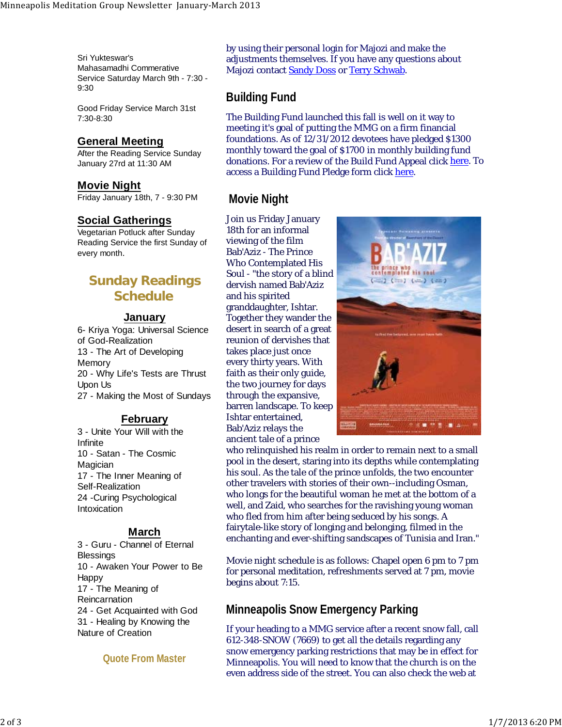Sri Yukteswar's Mahasamadhi Commerative Service Saturday March 9th - 7:30 - 9:30

Good Friday Service March 31st 7:30-8:30

#### **General Meeting**

After the Reading Service Sunday January 27rd at 11:30 AM

#### **Movie Night**

Friday January 18th, 7 - 9:30 PM

#### **Social Gatherings**

Vegetarian Potluck after Sunday Reading Service the first Sunday of every month.

# **Sunday Readings Schedule**

#### **January**

6- Kriya Yoga: Universal Science of God-Realization 13 - The Art of Developing Memory 20 - Why Life's Tests are Thrust Upon Us 27 - Making the Most of Sundays

#### **February**

3 - Unite Your Will with the Infinite 10 - Satan - The Cosmic Magician 17 - The Inner Meaning of Self-Realization 24 -Curing Psychological Intoxication

#### **March**

3 - Guru - Channel of Eternal **Blessings** 10 - Awaken Your Power to Be Happy 17 - The Meaning of Reincarnation 24 - Get Acquainted with God 31 - Healing by Knowing the Nature of Creation

**Quote From Master**

by using their personal login for Majozi and make the adjustments themselves. If you have any questions about Majozi contact <mark>Sandy Doss</mark> or <mark>Terry Schwab</mark>.

### **Building Fund**

The Building Fund launched this fall is well on it way to meeting it's goal of putting the MMG on a firm financial foundations. As of 12/31/2012 devotees have pledged \$1300 monthly toward the goal of \$1700 in monthly building fund donations. For a review of the Build Fund Appeal click <u>here</u>. To access a Building Fund Pledge form click here.

### **Movie Night**

Join us Friday January 18th for an informal viewing of the film Bab'Aziz - The Prince Who Contemplated His Soul - "the story of a blind dervish named Bab'Aziz and his spirited granddaughter, Ishtar. Together they wander the desert in search of a great reunion of dervishes that takes place just once every thirty years. With faith as their only guide, the two journey for days through the expansive, barren landscape. To keep Ishtar entertained, Bab'Aziz relays the ancient tale of a prince



who relinquished his realm in order to remain next to a small pool in the desert, staring into its depths while contemplating his soul. As the tale of the prince unfolds, the two encounter other travelers with stories of their own--including Osman, who longs for the beautiful woman he met at the bottom of a well, and Zaid, who searches for the ravishing young woman who fled from him after being seduced by his songs. A fairytale-like story of longing and belonging, filmed in the enchanting and ever-shifting sandscapes of Tunisia and Iran."

Movie night schedule is as follows: Chapel open 6 pm to 7 pm for personal meditation, refreshments served at 7 pm, movie begins about 7:15.

### **Minneapolis Snow Emergency Parking**

If your heading to a MMG service after a recent snow fall, call 612-348-SNOW (7669) to get all the details regarding any snow emergency parking restrictions that may be in effect for Minneapolis. You will need to know that the church is on the even address side of the street. You can also check the web at